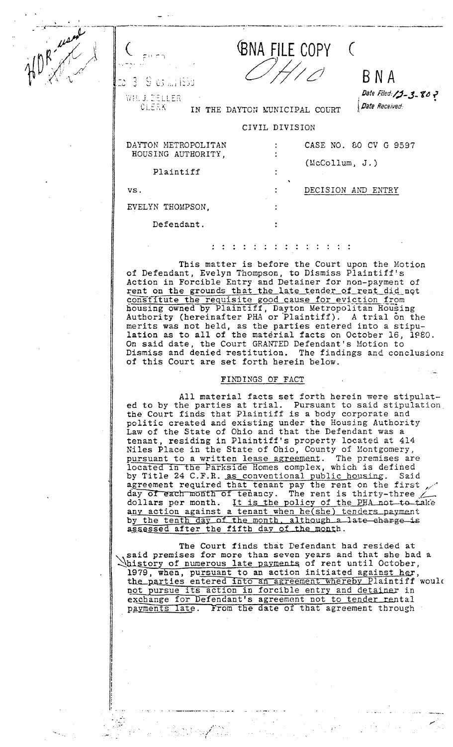| (RNA FILE COPY |  |
|----------------|--|
|                |  |

**BNA** 

Date Received:

Date Filed: 15 - 3 - 80 -

WH. J. ZELLER

3

 $9.67 m1655$ 

CLERK IN THE DAYTON MUNICIPAL COURT

## CIVIL DIVISION

| DAYTON METROPOLITAN | CASE NO. 80 CV G 9597 |
|---------------------|-----------------------|
| HOUSING AUTHORITY,  |                       |
|                     | (McCollum, J.)        |
| Plaintiff           |                       |
| VS.                 | DECISION AND<br>ENTRY |
| EVELYN THOMPSON.    |                       |
| Defendant.          |                       |

This matter is before the Court upon the Motion of Defendant, Evelyn Thompson, to Dismiss Plaintiff's Action in Forcible Entry and Detainer for non-payment of rent on the grounds that the late tender of rent did not constitute the requisite good cause for eviction from<br>housing owned by Plaintiff, Dayton Metropolitan Housing<br>Authority (hereinafter PHA or Plaintiff). A trial on the merits was not held, as the parties entered into a stipu-<br>lation as to all of the material facts on October 16, 1980. On said date, the Court GRANTED Defendant's Motion to Dismiss and denied restitution. The findings and conclusions of this Court are set forth herein below.

## FINDINGS OF FACT

All material facts set forth herein were stipulated to by the parties at trial. Pursuant to said stipulation<br>the Court finds that Plaintiff is a body corporate and<br>politic created and existing under the Housing Authority<br>Law of the State of Ohio and that the Defendant wa tenant, residing in Plaintiff's property located at 414<br>Niles Place in the State of Ohio, County of Montgomery,<br>pursuant to a written lease agreement. The premises are<br>located in the Parkside Homes complex, which is define by Title 24 C.F.R. as conventional public housing. Said<br>agreement required that tenant pay the rent on the first<br>day of each month of tenancy. The rent is thirty-three<br>dollars per month. It is the policy of the PHA not to by the tenth day of the month, although a late charge is assessed after the fifth day of the month.

The Court finds that Defendant had resided at said premises for more than seven years and that she had a Said premises for more than seven years and the booth of the parties of rent until October,<br>1979, when, pursuant to an action initiated against her,<br>the parties entered into an agreement whereby Plaintiff would not pursue its action in forcible entry and detainer in exchange for Defendant's agreement not to tender rental payments late. From the date of that agreement through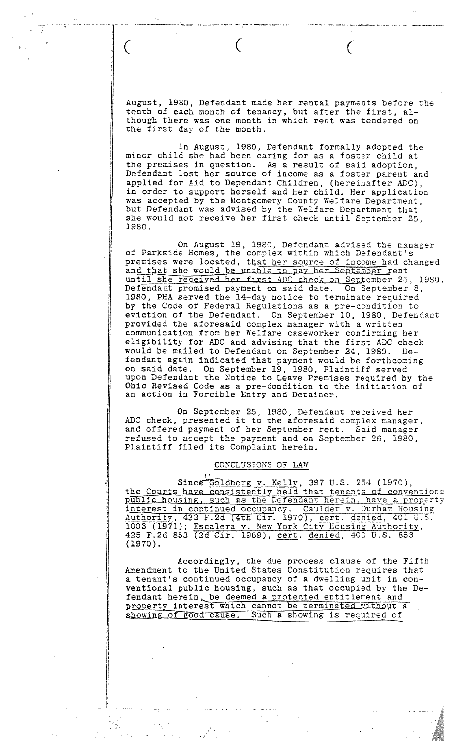· ----T-- .-----.---\_ .. ------ -.-- -- ---------

August, 1980, Defendant made her rental payments before the tenth of each month of tenancy, but after the first, although there was one month in which rent was tendered on the first day of the month.

In August, 1980, Cefendant formally adopted the minor child she had been caring for as a foster child at the premises in question. As a result of said adoption, Defendant lost her source of income as a foster parent and applied for Aid to Dependant Children, (hereinafter ADC), in order to support herself and her child. Her application was accepted by the Montgomery County Welfare Department, but Defendant was advised by the Welfare Department that she would not receive her first check until September 25, 1980.

On August 19, 1980, Defendant advised the manager of Parkside Homes, the complex within which Defendant's premises were located, that her source of income had changed and that she would be unable to pay her September rent until she received her first ADC check on September 25, 1980. Defendant promised payoent on said date. On September 8, 1980, PHA served the l4-day notice to terminate required by the Code of Federal Regulations as a pre-condition to eviction of the Defendant. On September 10, 1980, Defendant provided the aforesaid complex manager with a written communication from her Welfare caseworker confirming her eligibility for ADC and advising that the first ADC check would be mailed to Defendant on September 24, 1980. Defendant again indicated that'payment would be forthcoming on said date. On September 19, 1980, Plaintiff served upon Defendant the Notice to Leave Premises required by the Ohio Revised Code as a pre-condition to the initiation of an action in Forcible Entry and Detainer.

On September 25, 1980, Defendant received her ADC Check, presented it to the aforesaid complex manager, and offered payment of her September rent. Said manager refused to accept the payment and on September 26, 1980, Plaintiff filed its Complaint herein.

## CONCLUSIONS OF LAW

 $\mathbf{r}$  $Since$  $Goldberg$  v.  $Kelly$ , 397 U.S. 254 (1970), the Courts have consistently held that tenants of conventional public housing, such as the Defendant herein, have a property interest in continued occupancy. Caulder v. Durham Housing Authority, 433 F.2d (4th Cir. 1970), cert. denied, 401 U.S. 1003 (1971); Escalera v. New York City Housing Authority, 425 F.2d 853 (2d Cir. 1969), cert. denied, 400 U.S. 853<br>(1970). 425 F.2d 853 (2d Cir. 1969), <u>cert. denied</u>, 400 U.S. 853<br>(1970).

Accordingly, the due process clause of the Fifth Amendment to the United States Constitution requires that a tenant's continued occupancy of a dwelling unit in conventional public housing, such as that occupied by the Defendant herein, be deemed a protected entitlement and property interest which cannot be terminated without a showing of good cause. Such a showing is required of

, ,

I

Ii it I I' I